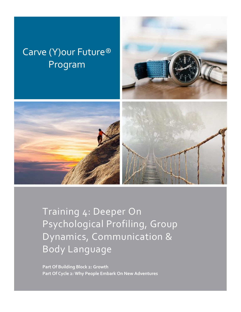# Carve (Y)our Future® Program





Training 4: Deeper On Psychological Profiling, Group Dynamics, Communication & Body Language

**Part Of Building Block 2: Growth Part Of Cycle 2: Why People Embark On New Adventures**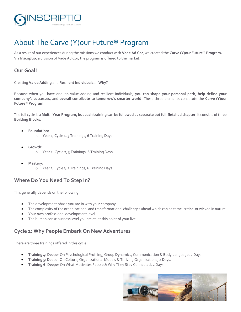

# About The Carve (Y)our Future® Program

As a result of our experiences during the missions we conduct with **Vade Ad Cor**, we created the **Carve (Y)our Future® Program.** Via **Inscriptio**, a division of Vade Ad Cor, the program is offered to the market.

#### **Our Goal!**

Creating **Value Adding** and **Resilient Individuals**…! **Why?**

Because when you have enough value adding and resilient individuals, **you can shape your personal path**, **help define your company's successes**, and **overall contribute to tomorrow's smarter world**. These three elements constitute the **Carve (Y)our Future® Program.**

The full cycle is a **Multi -Year Program, but each training can be followed as separate but full-fletched chapter**. It consists of three **Building Blocks**.

- **Foundation:**
	- o Year 1, Cycle 1, 3 Trainings, 6 Training Days.
- **Growth:**
	- o Year 2, Cycle 2, 3 Trainings, 6 Training Days.
- **Mastery:**
	- o Year 3, Cycle 3, 3 Trainings, 6 Training Days.

#### **Where Do You Need To Step In?**

This generally depends on the following:

- The development phase you are in with your company.
- The complexity of the organizational and transformational challenges ahead which can be tame, critical or wicked in nature.
- Your own professional development level.
- The human consciousness level you are at, at this point of your live.

#### **Cycle 2: Why People Embark On New Adventures**

There are three trainings offered in this cycle.

- **Training 4**: Deeper On Psychological Profiling, Group Dynamics, Communication & Body Language, 2 Days.
- **Training 5**: Deeper On Culture, Organizational Models & Thriving Organizations, 2 Days.
- **Training 6**: Deeper On What Motivates People & Why They Stay Connected, 2 Days.

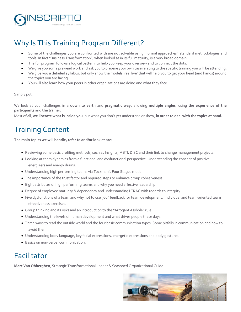

# Why Is This Training Program Different?

- Some of the challenges you are confronted with are not solvable using 'normal approaches', standard methodologies and tools. In fact "Business Transformation", when looked at in its full maturity, is a very broad domain.
- The full program follows a logical pattern, to help you keep your overview and to connect the dots.
- We give you some pre-read work and ask you to prepare your own case relating to the specific training you will be attending.
- We give you a detailed syllabus, but only show the models 'real live' that will help you to get your head (and hands) around the topics you are facing.
- You will also learn how your peers in other organizations are doing and what they face.

#### Simply put:

We look at your challenges in a **down to earth** and **pragmatic way,** allowing **multiple angles**, using **the experience of the participants** and **the trainer**.

Most of all, **we liberate what is inside you**, but what you don't yet understand or show, **in order to deal with the topics at hand.** 

# Training Content

**The main topics we will handle, refer to and/or look at are:** 

- Reviewing some basic profiling methods, such as Insights, MBTI, DISC and their link to change management projects.
- Looking at team dynamics from a functional and dysfunctional perspective. Understanding the concept of positive energizers and energy drains.
- Understanding high performing teams via Tuckman's Four Stages model.
- The importance of the trust factor and required steps to enhance group cohesiveness.
- Eight attributes of high performing teams and why you need effective leadership.
- Degree of employee maturity & dependency and understanding I TRAC with regards to integrity.
- Five dysfunctions of a team and why not to use 360° feedback for team development. Individual and team-oriented team effectiveness exercises.
- Group thinking and its risks and an introduction to the "Arrogant Asshole" rule.
- Understanding the levels of human development and what drives people these days.
- Three ways to read the outside world and the four basic communication types. Some pitfalls in communication and how to avoid them.
- Understanding body language, key facial expressions, energetic expressions and body gestures.
- Basics on non-verbal communication.

### Facilitator

**Marc Van Obberghen**, Strategic Transformational Leader & Seasoned Organizational Guide.